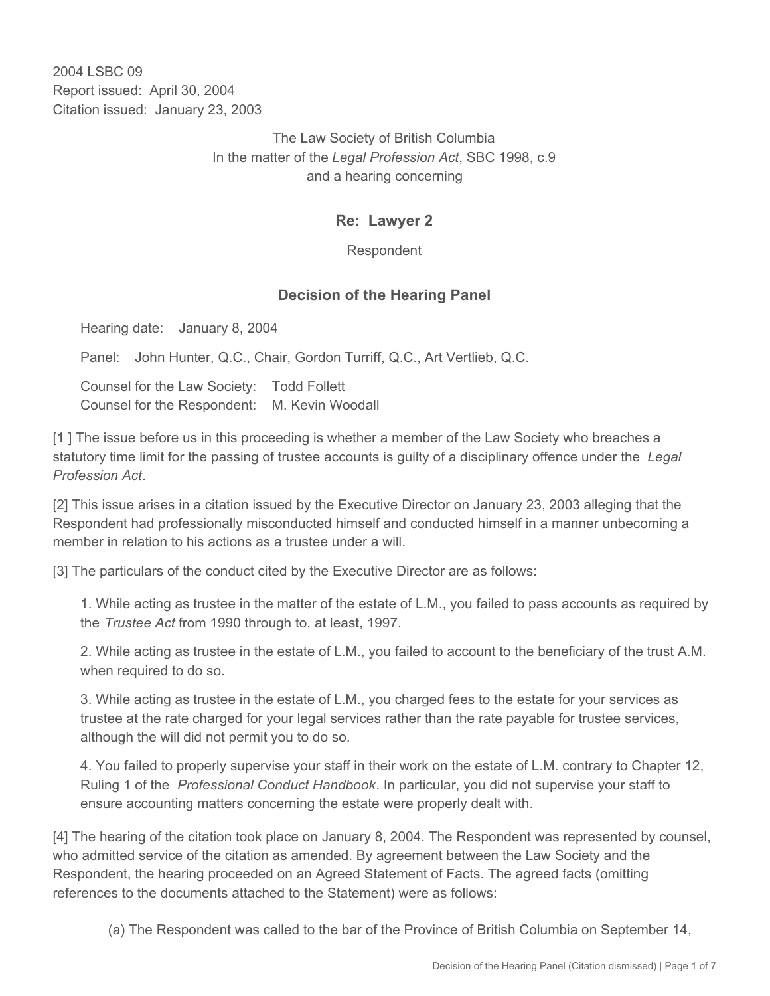2004 LSBC 09 Report issued: April 30, 2004 Citation issued: January 23, 2003

> The Law Society of British Columbia In the matter of the *Legal Profession Act*, SBC 1998, c.9 and a hearing concerning

#### **Re: Lawyer 2**

Respondent

#### **Decision of the Hearing Panel**

Hearing date: January 8, 2004

Panel: John Hunter, Q.C., Chair, Gordon Turriff, Q.C., Art Vertlieb, Q.C.

Counsel for the Law Society: Todd Follett Counsel for the Respondent: M. Kevin Woodall

[1 ] The issue before us in this proceeding is whether a member of the Law Society who breaches a statutory time limit for the passing of trustee accounts is guilty of a disciplinary offence under the *Legal Profession Act*.

[2] This issue arises in a citation issued by the Executive Director on January 23, 2003 alleging that the Respondent had professionally misconducted himself and conducted himself in a manner unbecoming a member in relation to his actions as a trustee under a will.

[3] The particulars of the conduct cited by the Executive Director are as follows:

1. While acting as trustee in the matter of the estate of L.M., you failed to pass accounts as required by the *Trustee Act* from 1990 through to, at least, 1997.

2. While acting as trustee in the estate of L.M., you failed to account to the beneficiary of the trust A.M. when required to do so.

3. While acting as trustee in the estate of L.M., you charged fees to the estate for your services as trustee at the rate charged for your legal services rather than the rate payable for trustee services, although the will did not permit you to do so.

4. You failed to properly supervise your staff in their work on the estate of L.M. contrary to Chapter 12, Ruling 1 of the *Professional Conduct Handbook*. In particular, you did not supervise your staff to ensure accounting matters concerning the estate were properly dealt with.

[4] The hearing of the citation took place on January 8, 2004. The Respondent was represented by counsel, who admitted service of the citation as amended. By agreement between the Law Society and the Respondent, the hearing proceeded on an Agreed Statement of Facts. The agreed facts (omitting references to the documents attached to the Statement) were as follows:

(a) The Respondent was called to the bar of the Province of British Columbia on September 14,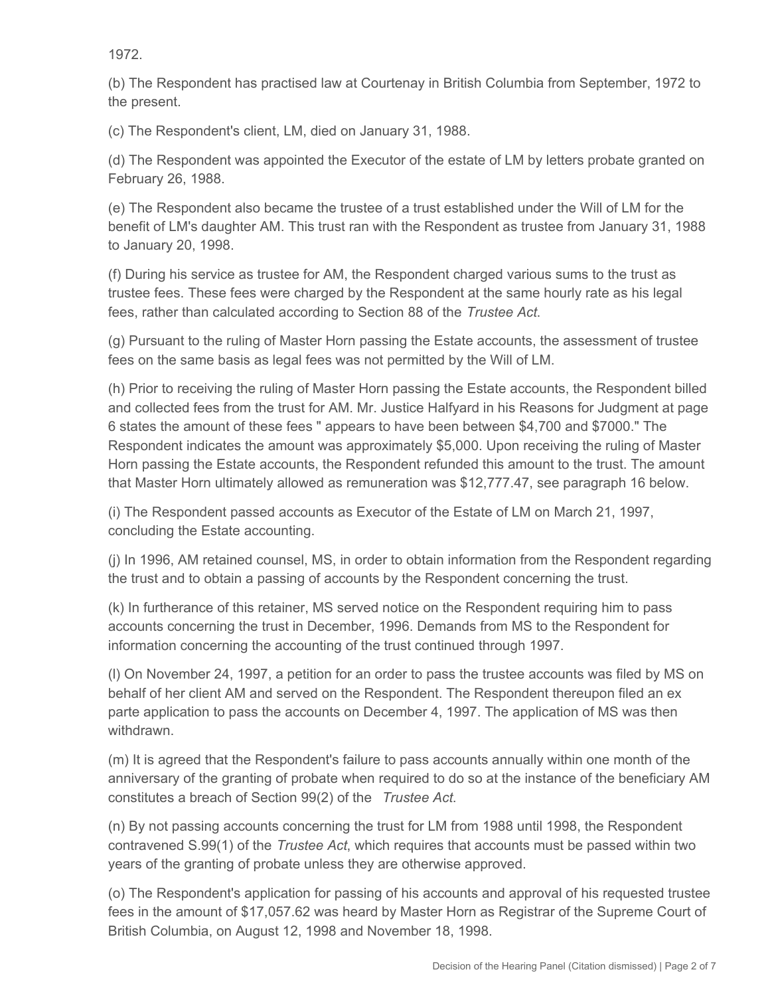1972.

(b) The Respondent has practised law at Courtenay in British Columbia from September, 1972 to the present.

(c) The Respondent's client, LM, died on January 31, 1988.

(d) The Respondent was appointed the Executor of the estate of LM by letters probate granted on February 26, 1988.

(e) The Respondent also became the trustee of a trust established under the Will of LM for the benefit of LM's daughter AM. This trust ran with the Respondent as trustee from January 31, 1988 to January 20, 1998.

(f) During his service as trustee for AM, the Respondent charged various sums to the trust as trustee fees. These fees were charged by the Respondent at the same hourly rate as his legal fees, rather than calculated according to Section 88 of the *Trustee Act*.

(g) Pursuant to the ruling of Master Horn passing the Estate accounts, the assessment of trustee fees on the same basis as legal fees was not permitted by the Will of LM.

(h) Prior to receiving the ruling of Master Horn passing the Estate accounts, the Respondent billed and collected fees from the trust for AM. Mr. Justice Halfyard in his Reasons for Judgment at page 6 states the amount of these fees " appears to have been between \$4,700 and \$7000." The Respondent indicates the amount was approximately \$5,000. Upon receiving the ruling of Master Horn passing the Estate accounts, the Respondent refunded this amount to the trust. The amount that Master Horn ultimately allowed as remuneration was \$12,777.47, see paragraph 16 below.

(i) The Respondent passed accounts as Executor of the Estate of LM on March 21, 1997, concluding the Estate accounting.

(j) In 1996, AM retained counsel, MS, in order to obtain information from the Respondent regarding the trust and to obtain a passing of accounts by the Respondent concerning the trust.

(k) In furtherance of this retainer, MS served notice on the Respondent requiring him to pass accounts concerning the trust in December, 1996. Demands from MS to the Respondent for information concerning the accounting of the trust continued through 1997.

(l) On November 24, 1997, a petition for an order to pass the trustee accounts was filed by MS on behalf of her client AM and served on the Respondent. The Respondent thereupon filed an ex parte application to pass the accounts on December 4, 1997. The application of MS was then withdrawn.

(m) It is agreed that the Respondent's failure to pass accounts annually within one month of the anniversary of the granting of probate when required to do so at the instance of the beneficiary AM constitutes a breach of Section 99(2) of the *Trustee Act*.

(n) By not passing accounts concerning the trust for LM from 1988 until 1998, the Respondent contravened S.99(1) of the *Trustee Act*, which requires that accounts must be passed within two years of the granting of probate unless they are otherwise approved.

(o) The Respondent's application for passing of his accounts and approval of his requested trustee fees in the amount of \$17,057.62 was heard by Master Horn as Registrar of the Supreme Court of British Columbia, on August 12, 1998 and November 18, 1998.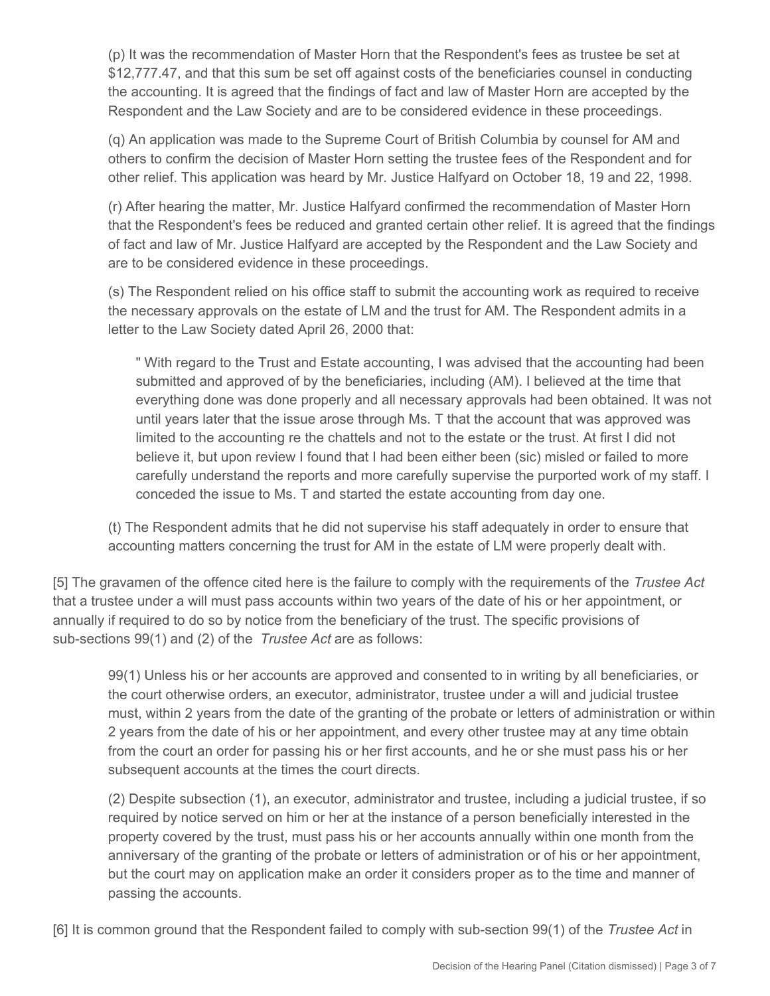(p) It was the recommendation of Master Horn that the Respondent's fees as trustee be set at \$12,777.47, and that this sum be set off against costs of the beneficiaries counsel in conducting the accounting. It is agreed that the findings of fact and law of Master Horn are accepted by the Respondent and the Law Society and are to be considered evidence in these proceedings.

(q) An application was made to the Supreme Court of British Columbia by counsel for AM and others to confirm the decision of Master Horn setting the trustee fees of the Respondent and for other relief. This application was heard by Mr. Justice Halfyard on October 18, 19 and 22, 1998.

(r) After hearing the matter, Mr. Justice Halfyard confirmed the recommendation of Master Horn that the Respondent's fees be reduced and granted certain other relief. It is agreed that the findings of fact and law of Mr. Justice Halfyard are accepted by the Respondent and the Law Society and are to be considered evidence in these proceedings.

(s) The Respondent relied on his office staff to submit the accounting work as required to receive the necessary approvals on the estate of LM and the trust for AM. The Respondent admits in a letter to the Law Society dated April 26, 2000 that:

" With regard to the Trust and Estate accounting, I was advised that the accounting had been submitted and approved of by the beneficiaries, including (AM). I believed at the time that everything done was done properly and all necessary approvals had been obtained. It was not until years later that the issue arose through Ms. T that the account that was approved was limited to the accounting re the chattels and not to the estate or the trust. At first I did not believe it, but upon review I found that I had been either been (sic) misled or failed to more carefully understand the reports and more carefully supervise the purported work of my staff. I conceded the issue to Ms. T and started the estate accounting from day one.

(t) The Respondent admits that he did not supervise his staff adequately in order to ensure that accounting matters concerning the trust for AM in the estate of LM were properly dealt with.

[5] The gravamen of the offence cited here is the failure to comply with the requirements of the *Trustee Act* that a trustee under a will must pass accounts within two years of the date of his or her appointment, or annually if required to do so by notice from the beneficiary of the trust. The specific provisions of sub-sections 99(1) and (2) of the *Trustee Act* are as follows:

99(1) Unless his or her accounts are approved and consented to in writing by all beneficiaries, or the court otherwise orders, an executor, administrator, trustee under a will and judicial trustee must, within 2 years from the date of the granting of the probate or letters of administration or within 2 years from the date of his or her appointment, and every other trustee may at any time obtain from the court an order for passing his or her first accounts, and he or she must pass his or her subsequent accounts at the times the court directs.

(2) Despite subsection (1), an executor, administrator and trustee, including a judicial trustee, if so required by notice served on him or her at the instance of a person beneficially interested in the property covered by the trust, must pass his or her accounts annually within one month from the anniversary of the granting of the probate or letters of administration or of his or her appointment, but the court may on application make an order it considers proper as to the time and manner of passing the accounts.

[6] It is common ground that the Respondent failed to comply with sub-section 99(1) of the *Trustee Act* in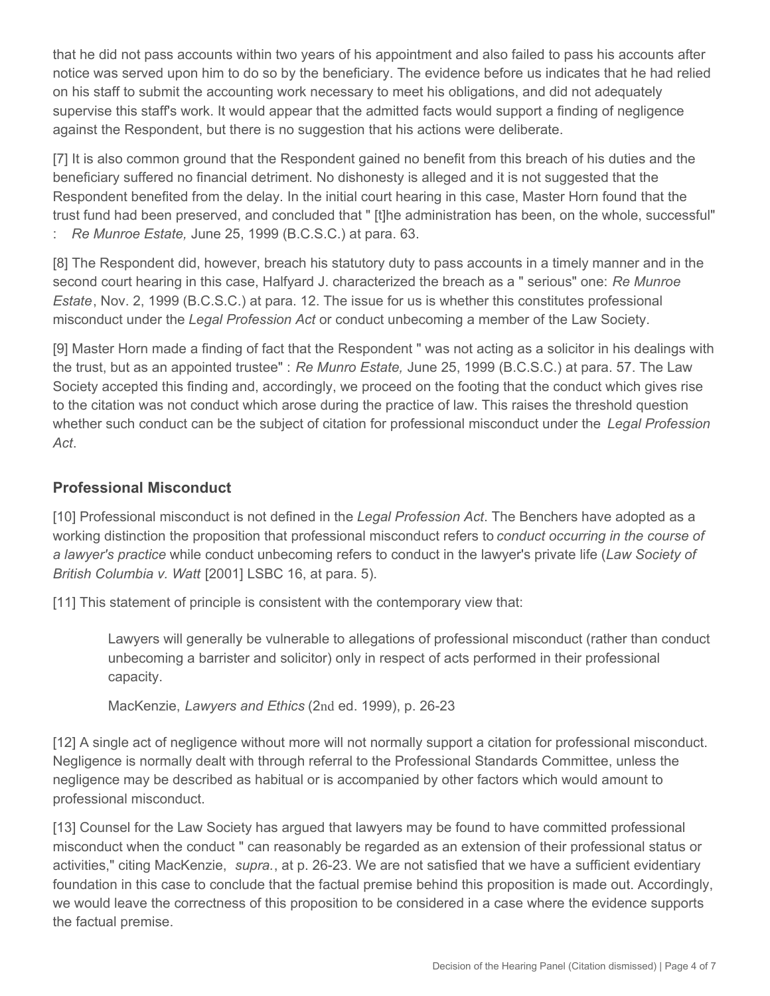that he did not pass accounts within two years of his appointment and also failed to pass his accounts after notice was served upon him to do so by the beneficiary. The evidence before us indicates that he had relied on his staff to submit the accounting work necessary to meet his obligations, and did not adequately supervise this staff's work. It would appear that the admitted facts would support a finding of negligence against the Respondent, but there is no suggestion that his actions were deliberate.

[7] It is also common ground that the Respondent gained no benefit from this breach of his duties and the beneficiary suffered no financial detriment. No dishonesty is alleged and it is not suggested that the Respondent benefited from the delay. In the initial court hearing in this case, Master Horn found that the trust fund had been preserved, and concluded that " [t]he administration has been, on the whole, successful" : *Re Munroe Estate,* June 25, 1999 (B.C.S.C.) at para. 63.

[8] The Respondent did, however, breach his statutory duty to pass accounts in a timely manner and in the second court hearing in this case, Halfyard J. characterized the breach as a " serious" one: *Re Munroe Estate*, Nov. 2, 1999 (B.C.S.C.) at para. 12. The issue for us is whether this constitutes professional misconduct under the *Legal Profession Act* or conduct unbecoming a member of the Law Society.

[9] Master Horn made a finding of fact that the Respondent " was not acting as a solicitor in his dealings with the trust, but as an appointed trustee" : *Re Munro Estate,* June 25, 1999 (B.C.S.C.) at para. 57. The Law Society accepted this finding and, accordingly, we proceed on the footing that the conduct which gives rise to the citation was not conduct which arose during the practice of law. This raises the threshold question whether such conduct can be the subject of citation for professional misconduct under the *Legal Profession Act*.

## **Professional Misconduct**

[10] Professional misconduct is not defined in the *Legal Profession Act*. The Benchers have adopted as a working distinction the proposition that professional misconduct refers to *conduct occurring in the course of a lawyer's practice* while conduct unbecoming refers to conduct in the lawyer's private life (*Law Society of British Columbia v. Watt* [2001] LSBC 16, at para. 5).

[11] This statement of principle is consistent with the contemporary view that:

Lawyers will generally be vulnerable to allegations of professional misconduct (rather than conduct unbecoming a barrister and solicitor) only in respect of acts performed in their professional capacity.

MacKenzie, *Lawyers and Ethics* (2nd ed. 1999), p. 26-23

[12] A single act of negligence without more will not normally support a citation for professional misconduct. Negligence is normally dealt with through referral to the Professional Standards Committee, unless the negligence may be described as habitual or is accompanied by other factors which would amount to professional misconduct.

[13] Counsel for the Law Society has argued that lawyers may be found to have committed professional misconduct when the conduct " can reasonably be regarded as an extension of their professional status or activities," citing MacKenzie, *supra.*, at p. 26-23. We are not satisfied that we have a sufficient evidentiary foundation in this case to conclude that the factual premise behind this proposition is made out. Accordingly, we would leave the correctness of this proposition to be considered in a case where the evidence supports the factual premise.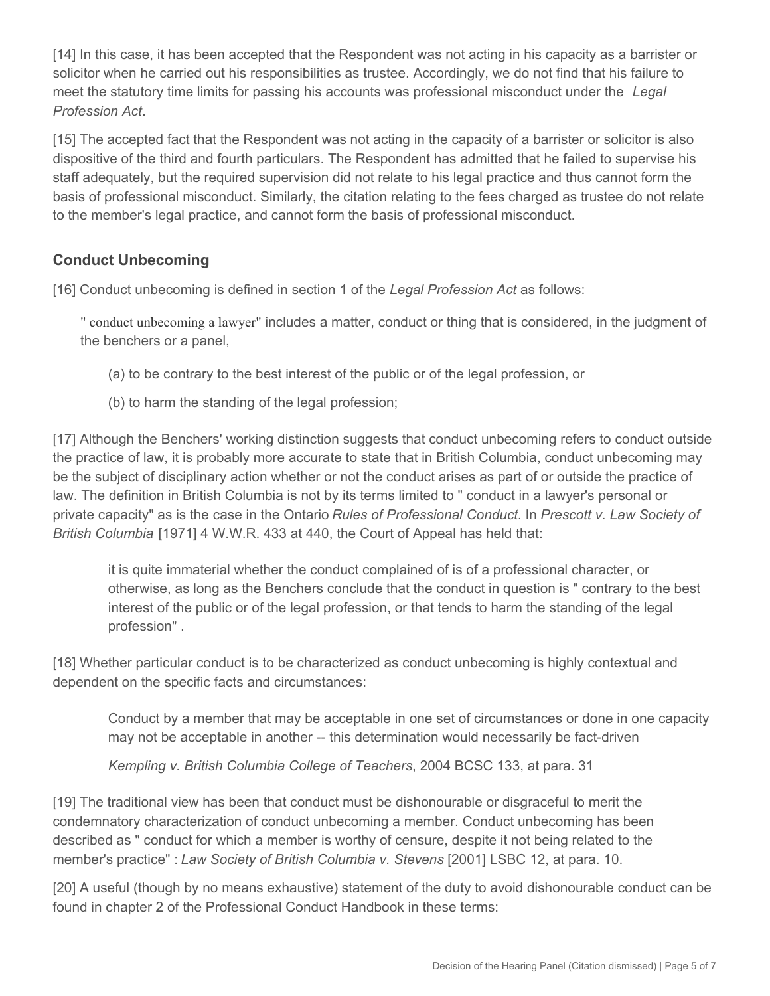[14] In this case, it has been accepted that the Respondent was not acting in his capacity as a barrister or solicitor when he carried out his responsibilities as trustee. Accordingly, we do not find that his failure to meet the statutory time limits for passing his accounts was professional misconduct under the *Legal Profession Act*.

[15] The accepted fact that the Respondent was not acting in the capacity of a barrister or solicitor is also dispositive of the third and fourth particulars. The Respondent has admitted that he failed to supervise his staff adequately, but the required supervision did not relate to his legal practice and thus cannot form the basis of professional misconduct. Similarly, the citation relating to the fees charged as trustee do not relate to the member's legal practice, and cannot form the basis of professional misconduct.

# **Conduct Unbecoming**

[16] Conduct unbecoming is defined in section 1 of the *Legal Profession Act* as follows:

" conduct unbecoming a lawyer" includes a matter, conduct or thing that is considered, in the judgment of the benchers or a panel,

- (a) to be contrary to the best interest of the public or of the legal profession, or
- (b) to harm the standing of the legal profession;

[17] Although the Benchers' working distinction suggests that conduct unbecoming refers to conduct outside the practice of law, it is probably more accurate to state that in British Columbia, conduct unbecoming may be the subject of disciplinary action whether or not the conduct arises as part of or outside the practice of law. The definition in British Columbia is not by its terms limited to " conduct in a lawyer's personal or private capacity" as is the case in the Ontario *Rules of Professional Conduct.* In *Prescott v. Law Society of British Columbia* [1971] 4 W.W.R. 433 at 440, the Court of Appeal has held that:

it is quite immaterial whether the conduct complained of is of a professional character, or otherwise, as long as the Benchers conclude that the conduct in question is " contrary to the best interest of the public or of the legal profession, or that tends to harm the standing of the legal profession" .

[18] Whether particular conduct is to be characterized as conduct unbecoming is highly contextual and dependent on the specific facts and circumstances:

Conduct by a member that may be acceptable in one set of circumstances or done in one capacity may not be acceptable in another -- this determination would necessarily be fact-driven

*Kempling v. British Columbia College of Teachers*, 2004 BCSC 133, at para. 31

[19] The traditional view has been that conduct must be dishonourable or disgraceful to merit the condemnatory characterization of conduct unbecoming a member. Conduct unbecoming has been described as " conduct for which a member is worthy of censure, despite it not being related to the member's practice" : *Law Society of British Columbia v. Stevens* [2001] LSBC 12, at para. 10.

[20] A useful (though by no means exhaustive) statement of the duty to avoid dishonourable conduct can be found in chapter 2 of the Professional Conduct Handbook in these terms: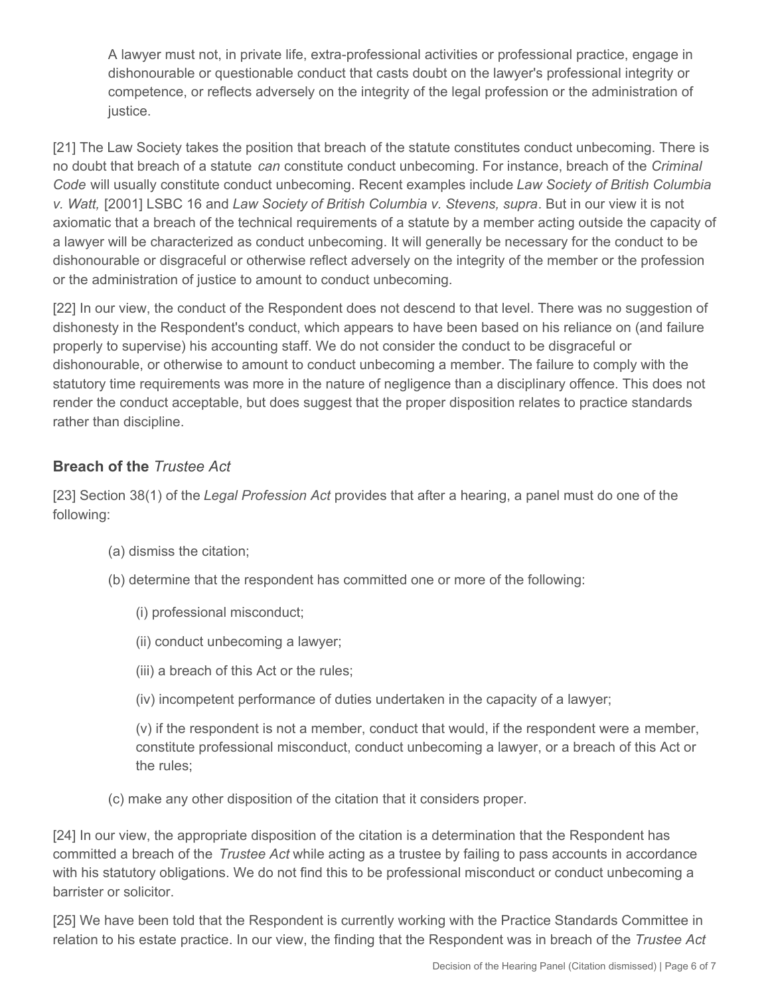A lawyer must not, in private life, extra-professional activities or professional practice, engage in dishonourable or questionable conduct that casts doubt on the lawyer's professional integrity or competence, or reflects adversely on the integrity of the legal profession or the administration of justice.

[21] The Law Society takes the position that breach of the statute constitutes conduct unbecoming. There is no doubt that breach of a statute *can* constitute conduct unbecoming. For instance, breach of the *Criminal Code* will usually constitute conduct unbecoming. Recent examples include *Law Society of British Columbia v. Watt,* [2001] LSBC 16 and *Law Society of British Columbia v. Stevens, supra*. But in our view it is not axiomatic that a breach of the technical requirements of a statute by a member acting outside the capacity of a lawyer will be characterized as conduct unbecoming. It will generally be necessary for the conduct to be dishonourable or disgraceful or otherwise reflect adversely on the integrity of the member or the profession or the administration of justice to amount to conduct unbecoming.

[22] In our view, the conduct of the Respondent does not descend to that level. There was no suggestion of dishonesty in the Respondent's conduct, which appears to have been based on his reliance on (and failure properly to supervise) his accounting staff. We do not consider the conduct to be disgraceful or dishonourable, or otherwise to amount to conduct unbecoming a member. The failure to comply with the statutory time requirements was more in the nature of negligence than a disciplinary offence. This does not render the conduct acceptable, but does suggest that the proper disposition relates to practice standards rather than discipline.

## **Breach of the** *Trustee Act*

[23] Section 38(1) of the *Legal Profession Act* provides that after a hearing, a panel must do one of the following:

- (a) dismiss the citation;
- (b) determine that the respondent has committed one or more of the following:
	- (i) professional misconduct;
	- (ii) conduct unbecoming a lawyer;
	- (iii) a breach of this Act or the rules;
	- (iv) incompetent performance of duties undertaken in the capacity of a lawyer;

(v) if the respondent is not a member, conduct that would, if the respondent were a member, constitute professional misconduct, conduct unbecoming a lawyer, or a breach of this Act or the rules;

(c) make any other disposition of the citation that it considers proper.

[24] In our view, the appropriate disposition of the citation is a determination that the Respondent has committed a breach of the *Trustee Act* while acting as a trustee by failing to pass accounts in accordance with his statutory obligations. We do not find this to be professional misconduct or conduct unbecoming a barrister or solicitor.

[25] We have been told that the Respondent is currently working with the Practice Standards Committee in relation to his estate practice. In our view, the finding that the Respondent was in breach of the *Trustee Act*